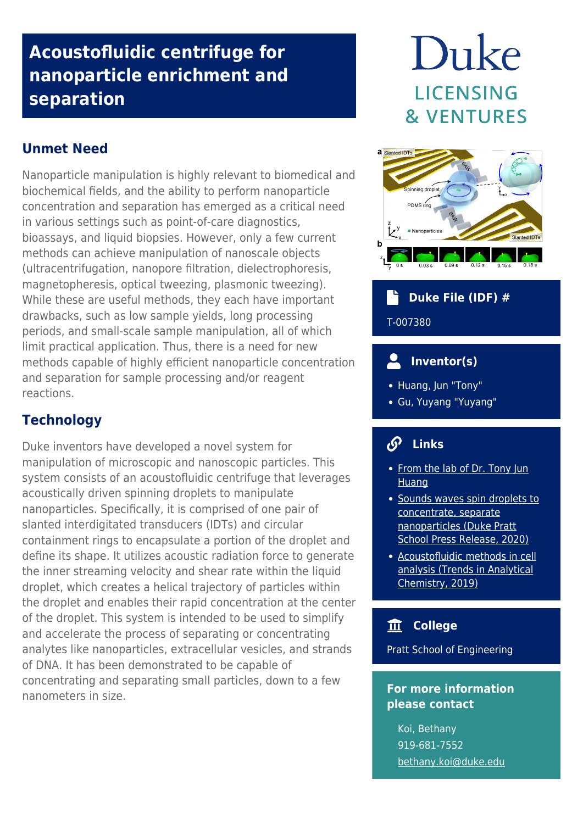# **Acoustofluidic centrifuge for nanoparticle enrichment and separation**

## **Unmet Need**

Nanoparticle manipulation is highly relevant to biomedical and biochemical fields, and the ability to perform nanoparticle concentration and separation has emerged as a critical need in various settings such as point-of-care diagnostics, bioassays, and liquid biopsies. However, only a few current methods can achieve manipulation of nanoscale objects (ultracentrifugation, nanopore filtration, dielectrophoresis, magnetopheresis, optical tweezing, plasmonic tweezing). While these are useful methods, they each have important drawbacks, such as low sample yields, long processing periods, and small-scale sample manipulation, all of which limit practical application. Thus, there is a need for new methods capable of highly efficient nanoparticle concentration and separation for sample processing and/or reagent reactions.

## **Technology**

Duke inventors have developed a novel system for manipulation of microscopic and nanoscopic particles. This system consists of an acoustofluidic centrifuge that leverages acoustically driven spinning droplets to manipulate nanoparticles. Specifically, it is comprised of one pair of slanted interdigitated transducers (IDTs) and circular containment rings to encapsulate a portion of the droplet and define its shape. It utilizes acoustic radiation force to generate the inner streaming velocity and shear rate within the liquid droplet, which creates a helical trajectory of particles within the droplet and enables their rapid concentration at the center of the droplet. This system is intended to be used to simplify and accelerate the process of separating or concentrating analytes like nanoparticles, extracellular vesicles, and strands of DNA. It has been demonstrated to be capable of concentrating and separating small particles, down to a few nanometers in size.

# Duke **LICENSING & VENTURES**



# **Duke File (IDF) #** T-007380

## **Inventor(s)**

- Huang, Jun "Tony"
- Gu, Yuyang "Yuyang"

#### டு  **Links**

- [From the lab of Dr. Tony Jun](https://acoustofluidics.pratt.duke.edu/) **[Huang](https://acoustofluidics.pratt.duke.edu/)**
- [Sounds waves spin droplets to](https://pratt.duke.edu/about/news/spinning-droplet-centrifuge) [concentrate, separate](https://pratt.duke.edu/about/news/spinning-droplet-centrifuge) [nanoparticles \(Duke Pratt](https://pratt.duke.edu/about/news/spinning-droplet-centrifuge) [School Press Release, 2020\)](https://pratt.duke.edu/about/news/spinning-droplet-centrifuge)
- [Acoustofluidic methods in cell](https://www.sciencedirect.com/science/article/pii/S0165993619302043) [analysis \(Trends in Analytical](https://www.sciencedirect.com/science/article/pii/S0165993619302043) [Chemistry, 2019\)](https://www.sciencedirect.com/science/article/pii/S0165993619302043)

#### 血  **College**

Pratt School of Engineering

## **For more information please contact**

Koi, Bethany 919-681-7552 [bethany.koi@duke.edu](mailto:bethany.koi@duke.edu)